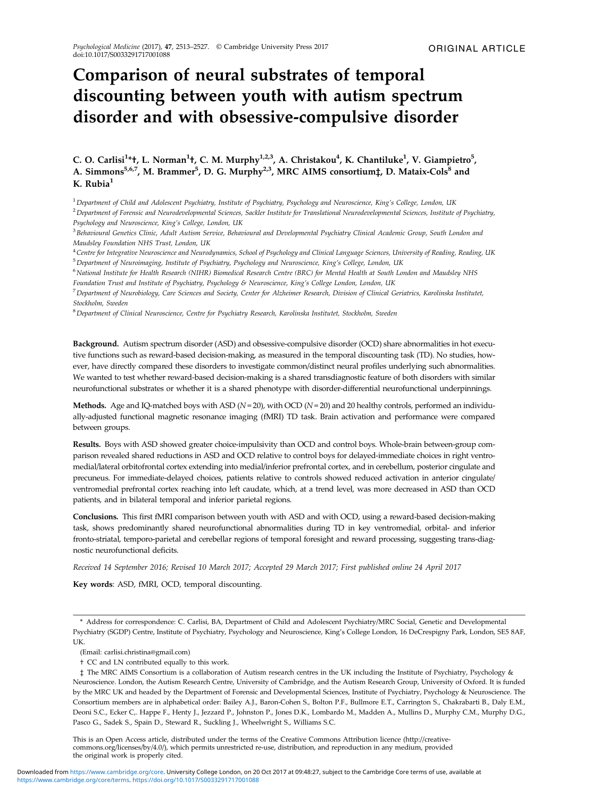# Comparison of neural substrates of temporal discounting between youth with autism spectrum disorder and with obsessive-compulsive disorder

C. O. Carlisi<sup>1</sup>\*†, L. Norman<sup>1</sup>†, C. M. Murphy<sup>1,2,3</sup>, A. Christakou<sup>4</sup>, K. Chantiluke<sup>1</sup>, V. Giampietro<sup>5</sup>, A. Simmons<sup>5,6,7</sup>, M. Brammer<sup>5</sup>, D. G. Murphy<sup>2,3</sup>, MRC AIMS consortium‡, D. Mataix-Cols<sup>8</sup> and K. Rubia $<sup>1</sup>$ </sup>

<sup>1</sup> Department of Child and Adolescent Psychiatry, Institute of Psychiatry, Psychology and Neuroscience, King's College, London, UK

 $2$  Department of Forensic and Neurodevelopmental Sciences, Sackler Institute for Translational Neurodevelopmental Sciences, Institute of Psychiatry, Psychology and Neuroscience, King's College, London, UK

<sup>3</sup> Behavioural Genetics Clinic, Adult Autism Service, Behavioural and Developmental Psychiatry Clinical Academic Group, South London and Maudsley Foundation NHS Trust, London, UK

<sup>4</sup> Centre for Integrative Neuroscience and Neurodynamics, School of Psychology and Clinical Language Sciences, University of Reading, Reading, UK <sup>5</sup>Department of Neuroimaging, Institute of Psychiatry, Psychology and Neuroscience, King's College, London, UK

<sup>6</sup>National Institute for Health Research (NIHR) Biomedical Research Centre (BRC) for Mental Health at South London and Maudsley NHS Foundation Trust and Institute of Psychiatry, Psychology & Neuroscience, King's College London, London, UK

<sup>7</sup> Department of Neurobiology, Care Sciences and Society, Center for Alzheimer Research, Division of Clinical Geriatrics, Karolinska Institutet, Stockholm, Sweden

<sup>8</sup>Department of Clinical Neuroscience, Centre for Psychiatry Research, Karolinska Institutet, Stockholm, Sweden

Background. Autism spectrum disorder (ASD) and obsessive-compulsive disorder (OCD) share abnormalities in hot executive functions such as reward-based decision-making, as measured in the temporal discounting task (TD). No studies, however, have directly compared these disorders to investigate common/distinct neural profiles underlying such abnormalities. We wanted to test whether reward-based decision-making is a shared transdiagnostic feature of both disorders with similar neurofunctional substrates or whether it is a shared phenotype with disorder-differential neurofunctional underpinnings.

Methods. Age and IQ-matched boys with ASD ( $N = 20$ ), with OCD ( $N = 20$ ) and 20 healthy controls, performed an individually-adjusted functional magnetic resonance imaging (fMRI) TD task. Brain activation and performance were compared between groups.

Results. Boys with ASD showed greater choice-impulsivity than OCD and control boys. Whole-brain between-group comparison revealed shared reductions in ASD and OCD relative to control boys for delayed-immediate choices in right ventromedial/lateral orbitofrontal cortex extending into medial/inferior prefrontal cortex, and in cerebellum, posterior cingulate and precuneus. For immediate-delayed choices, patients relative to controls showed reduced activation in anterior cingulate/ ventromedial prefrontal cortex reaching into left caudate, which, at a trend level, was more decreased in ASD than OCD patients, and in bilateral temporal and inferior parietal regions.

Conclusions. This first fMRI comparison between youth with ASD and with OCD, using a reward-based decision-making task, shows predominantly shared neurofunctional abnormalities during TD in key ventromedial, orbital- and inferior fronto-striatal, temporo-parietal and cerebellar regions of temporal foresight and reward processing, suggesting trans-diagnostic neurofunctional deficits.

Received 14 September 2016; Revised 10 March 2017; Accepted 29 March 2017; First published online 24 April 2017

Key words: ASD, fMRI, OCD, temporal discounting.

\* Address for correspondence: C. Carlisi, BA, Department of Child and Adolescent Psychiatry/MRC Social, Genetic and Developmental Psychiatry (SGDP) Centre, Institute of Psychiatry, Psychology and Neuroscience, King's College London, 16 DeCrespigny Park, London, SE5 8AF, UK.

(Email: [carlisi.christina@gmail.com\)](mailto:carlisi.christina@gmail.com)

† CC and LN contributed equally to this work.

This is an Open Access article, distributed under the terms of the Creative Commons Attribution licence (http://creativecommons.org/licenses/by/4.0/), which permits unrestricted re-use, distribution, and reproduction in any medium, provided the original work is properly cited.

[https://www.cambridge.org/core/terms.](https://www.cambridge.org/core/terms) <https://doi.org/10.1017/S0033291717001088> Downloaded from [https://www.cambridge.org/core.](https://www.cambridge.org/core) University College London, on 20 Oct 2017 at 09:48:27, subject to the Cambridge Core terms of use, available at

<sup>‡</sup> The MRC AIMS Consortium is a collaboration of Autism research centres in the UK including the Institute of Psychiatry, Psychology & Neuroscience. London, the Autism Research Centre, University of Cambridge, and the Autism Research Group, University of Oxford. It is funded by the MRC UK and headed by the Department of Forensic and Developmental Sciences, Institute of Psychiatry, Psychology & Neuroscience. The Consortium members are in alphabetical order: Bailey A.J., Baron-Cohen S., Bolton P.F., Bullmore E.T., Carrington S., Chakrabarti B., Daly E.M., Deoni S.C., Ecker C,. Happe F., Henty J., Jezzard P., Johnston P., Jones D.K., Lombardo M., Madden A., Mullins D., Murphy C.M., Murphy D.G., Pasco G., Sadek S., Spain D., Steward R., Suckling J., Wheelwright S., Williams S.C.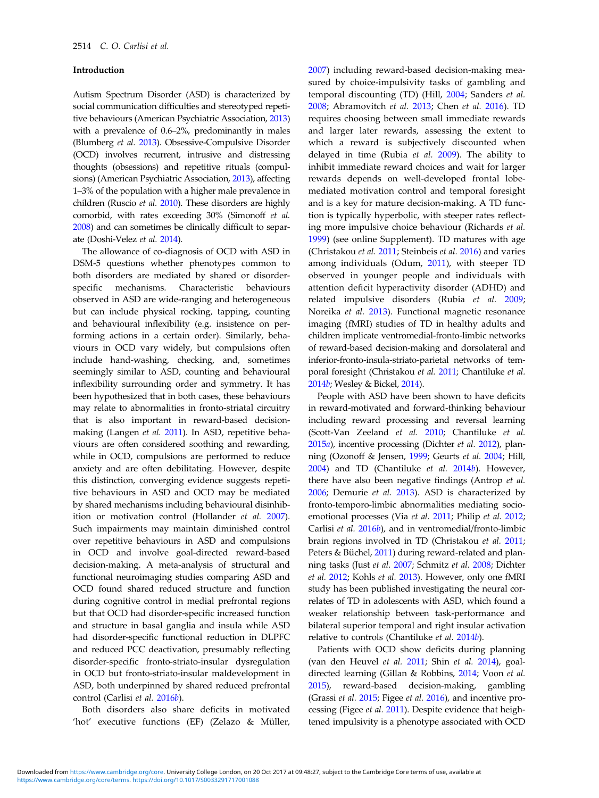## Introduction

Autism Spectrum Disorder (ASD) is characterized by social communication difficulties and stereotyped repetitive behaviours (American Psychiatric Association, [2013\)](#page-10-0) with a prevalence of 0.6–2%, predominantly in males (Blumberg et al. [2013\)](#page-10-0). Obsessive-Compulsive Disorder (OCD) involves recurrent, intrusive and distressing thoughts (obsessions) and repetitive rituals (compulsions) (American Psychiatric Association, [2013\)](#page-10-0), affecting 1–3% of the population with a higher male prevalence in children (Ruscio et al. [2010\)](#page-13-0). These disorders are highly comorbid, with rates exceeding 30% (Simonoff et al. [2008](#page-13-0)) and can sometimes be clinically difficult to separate (Doshi-Velez et al. [2014\)](#page-11-0).

The allowance of co-diagnosis of OCD with ASD in DSM-5 questions whether phenotypes common to both disorders are mediated by shared or disorderspecific mechanisms. Characteristic behaviours observed in ASD are wide-ranging and heterogeneous but can include physical rocking, tapping, counting and behavioural inflexibility (e.g. insistence on performing actions in a certain order). Similarly, behaviours in OCD vary widely, but compulsions often include hand-washing, checking, and, sometimes seemingly similar to ASD, counting and behavioural inflexibility surrounding order and symmetry. It has been hypothesized that in both cases, these behaviours may relate to abnormalities in fronto-striatal circuitry that is also important in reward-based decisionmaking (Langen et al. [2011\)](#page-12-0). In ASD, repetitive behaviours are often considered soothing and rewarding, while in OCD, compulsions are performed to reduce anxiety and are often debilitating. However, despite this distinction, converging evidence suggests repetitive behaviours in ASD and OCD may be mediated by shared mechanisms including behavioural disinhibition or motivation control (Hollander et al. [2007](#page-11-0)). Such impairments may maintain diminished control over repetitive behaviours in ASD and compulsions in OCD and involve goal-directed reward-based decision-making. A meta-analysis of structural and functional neuroimaging studies comparing ASD and OCD found shared reduced structure and function during cognitive control in medial prefrontal regions but that OCD had disorder-specific increased function and structure in basal ganglia and insula while ASD had disorder-specific functional reduction in DLPFC and reduced PCC deactivation, presumably reflecting disorder-specific fronto-striato-insular dysregulation in OCD but fronto-striato-insular maldevelopment in ASD, both underpinned by shared reduced prefrontal control (Carlisi et al. [2016](#page-10-0)b).

Both disorders also share deficits in motivated 'hot' executive functions (EF) (Zelazo & Müller,

[2007\)](#page-14-0) including reward-based decision-making measured by choice-impulsivity tasks of gambling and temporal discounting (TD) (Hill, [2004](#page-11-0); Sanders et al. [2008;](#page-13-0) Abramovitch et al. [2013;](#page-10-0) Chen et al. [2016](#page-10-0)). TD requires choosing between small immediate rewards and larger later rewards, assessing the extent to which a reward is subjectively discounted when delayed in time (Rubia et al. [2009](#page-13-0)). The ability to inhibit immediate reward choices and wait for larger rewards depends on well-developed frontal lobemediated motivation control and temporal foresight and is a key for mature decision-making. A TD function is typically hyperbolic, with steeper rates reflecting more impulsive choice behaviour (Richards et al. [1999\)](#page-13-0) (see online Supplement). TD matures with age (Christakou et al. [2011;](#page-10-0) Steinbeis et al. [2016\)](#page-13-0) and varies among individuals (Odum, [2011\)](#page-12-0), with steeper TD observed in younger people and individuals with attention deficit hyperactivity disorder (ADHD) and related impulsive disorders (Rubia et al. [2009](#page-13-0); Noreika et al. [2013](#page-12-0)). Functional magnetic resonance imaging (fMRI) studies of TD in healthy adults and children implicate ventromedial-fronto-limbic networks of reward-based decision-making and dorsolateral and inferior-fronto-insula-striato-parietal networks of temporal foresight (Christakou et al. [2011;](#page-10-0) Chantiluke et al. [2014](#page-10-0)b; Wesley & Bickel, [2014\)](#page-14-0).

People with ASD have been shown to have deficits in reward-motivated and forward-thinking behaviour including reward processing and reversal learning (Scott-Van Zeeland et al. [2010;](#page-13-0) Chantiluke et al. [2015](#page-10-0)a), incentive processing (Dichter et al. [2012](#page-11-0)), planning (Ozonoff & Jensen, [1999](#page-12-0); Geurts et al. [2004;](#page-11-0) Hill, [2004\)](#page-11-0) and TD (Chantiluke et al. [2014](#page-10-0)b). However, there have also been negative findings (Antrop et al. [2006;](#page-10-0) Demurie et al. [2013](#page-11-0)). ASD is characterized by fronto-temporo-limbic abnormalities mediating socio-emotional processes (Via et al. [2011;](#page-13-0) Philip et al. [2012](#page-12-0); Carlisi et al. [2016](#page-10-0)b), and in ventromedial/fronto-limbic brain regions involved in TD (Christakou et al. [2011](#page-10-0); Peters & Büchel, [2011\)](#page-12-0) during reward-related and planning tasks (Just et al. [2007;](#page-11-0) Schmitz et al. [2008](#page-13-0); Dichter et al. [2012](#page-11-0); Kohls et al. [2013](#page-11-0)). However, only one fMRI study has been published investigating the neural correlates of TD in adolescents with ASD, which found a weaker relationship between task-performance and bilateral superior temporal and right insular activation relative to controls (Chantiluke et al. [2014](#page-10-0)b).

Patients with OCD show deficits during planning (van den Heuvel et al. [2011;](#page-13-0) Shin et al. [2014](#page-13-0)), goaldirected learning (Gillan & Robbins, [2014](#page-11-0); Voon et al. [2015\)](#page-13-0), reward-based decision-making, gambling (Grassi et al. [2015](#page-11-0); Figee et al. [2016](#page-11-0)), and incentive pro-cessing (Figee et al. [2011](#page-11-0)). Despite evidence that heightened impulsivity is a phenotype associated with OCD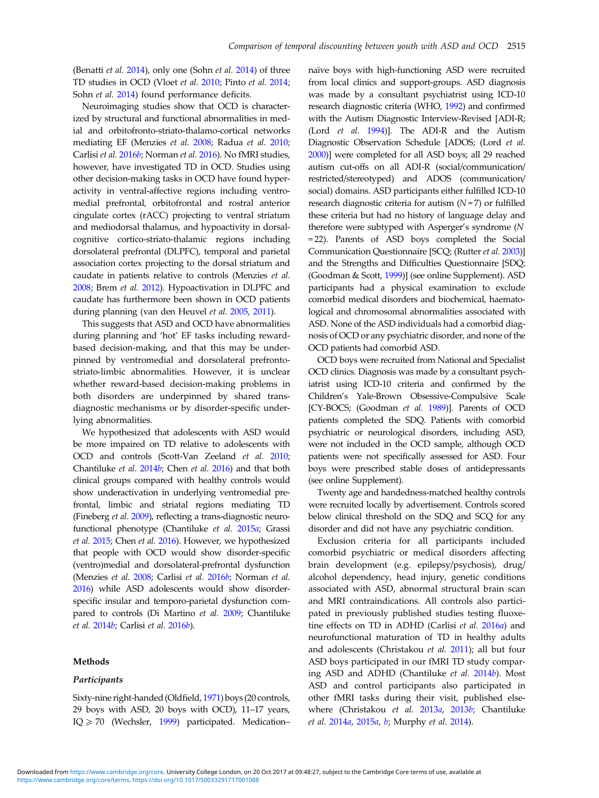(Benatti et al. [2014](#page-10-0)), only one (Sohn et al. [2014\)](#page-13-0) of three TD studies in OCD (Vloet et al. [2010](#page-13-0); Pinto et al. [2014](#page-12-0); Sohn *et al.* [2014](#page-13-0)) found performance deficits.

Neuroimaging studies show that OCD is characterized by structural and functional abnormalities in medial and orbitofronto-striato-thalamo-cortical networks mediating EF (Menzies et al. [2008](#page-12-0); Radua et al. [2010](#page-12-0); Carlisi et al. [2016](#page-10-0)b; Norman et al. [2016\)](#page-12-0). No fMRI studies, however, have investigated TD in OCD. Studies using other decision-making tasks in OCD have found hyperactivity in ventral-affective regions including ventromedial prefrontal, orbitofrontal and rostral anterior cingulate cortex (rACC) projecting to ventral striatum and mediodorsal thalamus, and hypoactivity in dorsalcognitive cortico-striato-thalamic regions including dorsolateral prefrontal (DLPFC), temporal and parietal association cortex projecting to the dorsal striatum and caudate in patients relative to controls (Menzies et al. [2008](#page-12-0); Brem et al. [2012\)](#page-10-0). Hypoactivation in DLPFC and caudate has furthermore been shown in OCD patients during planning (van den Heuvel et al. [2005,](#page-13-0) [2011](#page-13-0)).

This suggests that ASD and OCD have abnormalities during planning and 'hot' EF tasks including rewardbased decision-making, and that this may be underpinned by ventromedial and dorsolateral prefrontostriato-limbic abnormalities. However, it is unclear whether reward-based decision-making problems in both disorders are underpinned by shared transdiagnostic mechanisms or by disorder-specific underlying abnormalities.

We hypothesized that adolescents with ASD would be more impaired on TD relative to adolescents with OCD and controls (Scott-Van Zeeland et al. [2010](#page-13-0); Chantiluke et al. [2014](#page-10-0)b; Chen et al. [2016\)](#page-10-0) and that both clinical groups compared with healthy controls would show underactivation in underlying ventromedial prefrontal, limbic and striatal regions mediating TD (Fineberg et al. [2009](#page-11-0)), reflecting a trans-diagnostic neurofunctional phenotype (Chantiluke et al. [2015](#page-10-0)a; Grassi et al. [2015;](#page-11-0) Chen et al. [2016](#page-10-0)). However, we hypothesized that people with OCD would show disorder-specific (ventro)medial and dorsolateral-prefrontal dysfunction (Menzies et al. [2008](#page-12-0); Carlisi et al. [2016](#page-10-0)b; Norman et al. [2016](#page-12-0)) while ASD adolescents would show disorderspecific insular and temporo-parietal dysfunction compared to controls (Di Martino et al. [2009;](#page-11-0) Chantiluke et al. [2014](#page-10-0)b; Carlisi et al. [2016](#page-10-0)b).

# Methods

# Participants

Sixty-nine right-handed (Oldfield, [1971\)](#page-12-0) boys (20 controls, 29 boys with ASD, 20 boys with OCD), 11–17 years,  $IQ \ge 70$  (Wechsler, [1999\)](#page-14-0) participated. Medicationnaïve boys with high-functioning ASD were recruited from local clinics and support-groups. ASD diagnosis was made by a consultant psychiatrist using ICD-10 research diagnostic criteria (WHO, [1992](#page-14-0)) and confirmed with the Autism Diagnostic Interview-Revised [ADI-R; (Lord et al. [1994\)](#page-12-0)]. The ADI-R and the Autism Diagnostic Observation Schedule [ADOS; (Lord et al. [2000](#page-12-0))] were completed for all ASD boys; all 29 reached autism cut-offs on all ADI-R (social/communication/ restricted/stereotyped) and ADOS (communication/ social) domains. ASD participants either fulfilled ICD-10 research diagnostic criteria for autism  $(N=7)$  or fulfilled these criteria but had no history of language delay and therefore were subtyped with Asperger's syndrome (N = 22). Parents of ASD boys completed the Social Communication Questionnaire [SCQ; (Rutter et al. [2003\)](#page-13-0)] and the Strengths and Difficulties Questionnaire [SDQ; (Goodman & Scott, [1999](#page-11-0))] (see online Supplement). ASD participants had a physical examination to exclude comorbid medical disorders and biochemical, haematological and chromosomal abnormalities associated with ASD. None of the ASD individuals had a comorbid diagnosis of OCD or any psychiatric disorder, and none of the OCD patients had comorbid ASD.

OCD boys were recruited from National and Specialist OCD clinics. Diagnosis was made by a consultant psychiatrist using ICD-10 criteria and confirmed by the Children's Yale-Brown Obsessive-Compulsive Scale [CY-BOCS; (Goodman et al. [1989](#page-11-0))]. Parents of OCD patients completed the SDQ. Patients with comorbid psychiatric or neurological disorders, including ASD, were not included in the OCD sample, although OCD patients were not specifically assessed for ASD. Four boys were prescribed stable doses of antidepressants (see online Supplement).

Twenty age and handedness-matched healthy controls were recruited locally by advertisement. Controls scored below clinical threshold on the SDQ and SCQ for any disorder and did not have any psychiatric condition.

Exclusion criteria for all participants included comorbid psychiatric or medical disorders affecting brain development (e.g. epilepsy/psychosis), drug/ alcohol dependency, head injury, genetic conditions associated with ASD, abnormal structural brain scan and MRI contraindications. All controls also participated in previously published studies testing fluoxetine effects on TD in ADHD (Carlisi et al. [2016](#page-10-0)a) and neurofunctional maturation of TD in healthy adults and adolescents (Christakou et al. [2011](#page-10-0)); all but four ASD boys participated in our fMRI TD study comparing ASD and ADHD (Chantiluke et al. [2014](#page-10-0)b). Most ASD and control participants also participated in other fMRI tasks during their visit, published elsewhere (Christakou et al. [2013](#page-11-0)a, [2013](#page-11-0)b; Chantiluke et al. [2014](#page-10-0)a, [2015](#page-10-0)a, [b](#page-10-0); Murphy et al. [2014\)](#page-12-0).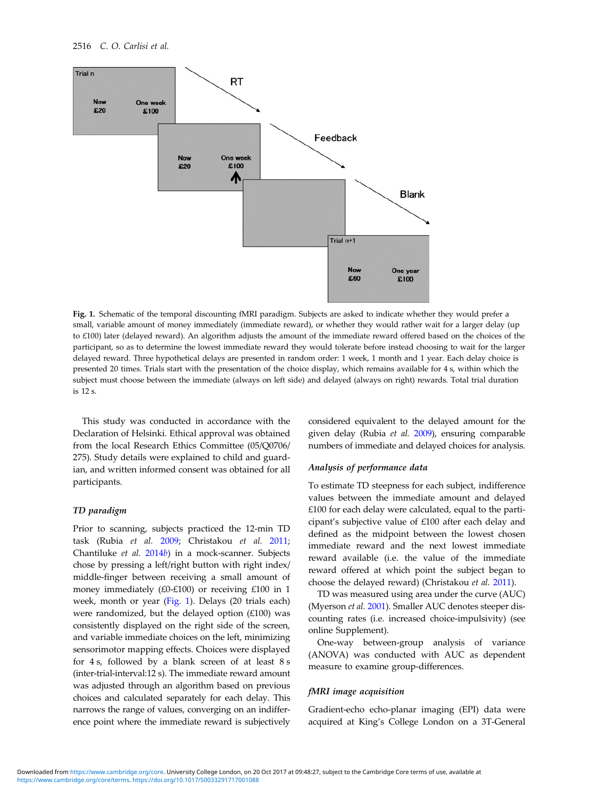

Fig. 1. Schematic of the temporal discounting fMRI paradigm. Subjects are asked to indicate whether they would prefer a small, variable amount of money immediately (immediate reward), or whether they would rather wait for a larger delay (up to £100) later (delayed reward). An algorithm adjusts the amount of the immediate reward offered based on the choices of the participant, so as to determine the lowest immediate reward they would tolerate before instead choosing to wait for the larger delayed reward. Three hypothetical delays are presented in random order: 1 week, 1 month and 1 year. Each delay choice is presented 20 times. Trials start with the presentation of the choice display, which remains available for 4 s, within which the subject must choose between the immediate (always on left side) and delayed (always on right) rewards. Total trial duration is 12 s.

This study was conducted in accordance with the Declaration of Helsinki. Ethical approval was obtained from the local Research Ethics Committee (05/Q0706/ 275). Study details were explained to child and guardian, and written informed consent was obtained for all participants.

#### TD paradigm

Prior to scanning, subjects practiced the 12-min TD task (Rubia et al. [2009;](#page-13-0) Christakou et al. [2011](#page-10-0); Chantiluke et al. [2014](#page-10-0)b) in a mock-scanner. Subjects chose by pressing a left/right button with right index/ middle-finger between receiving a small amount of money immediately (£0-£100) or receiving £100 in 1 week, month or year (Fig. 1). Delays (20 trials each) were randomized, but the delayed option  $(E100)$  was consistently displayed on the right side of the screen, and variable immediate choices on the left, minimizing sensorimotor mapping effects. Choices were displayed for 4 s, followed by a blank screen of at least 8 s (inter-trial-interval:12 s). The immediate reward amount was adjusted through an algorithm based on previous choices and calculated separately for each delay. This narrows the range of values, converging on an indifference point where the immediate reward is subjectively

considered equivalent to the delayed amount for the given delay (Rubia et al. [2009\)](#page-13-0), ensuring comparable numbers of immediate and delayed choices for analysis.

#### Analysis of performance data

To estimate TD steepness for each subject, indifference values between the immediate amount and delayed £100 for each delay were calculated, equal to the participant's subjective value of £100 after each delay and defined as the midpoint between the lowest chosen immediate reward and the next lowest immediate reward available (i.e. the value of the immediate reward offered at which point the subject began to choose the delayed reward) (Christakou et al. [2011\)](#page-10-0).

TD was measured using area under the curve (AUC) (Myerson et al. [2001\)](#page-12-0). Smaller AUC denotes steeper discounting rates (i.e. increased choice-impulsivity) (see online Supplement).

One-way between-group analysis of variance (ANOVA) was conducted with AUC as dependent measure to examine group-differences.

#### fMRI image acquisition

Gradient-echo echo-planar imaging (EPI) data were acquired at King's College London on a 3T-General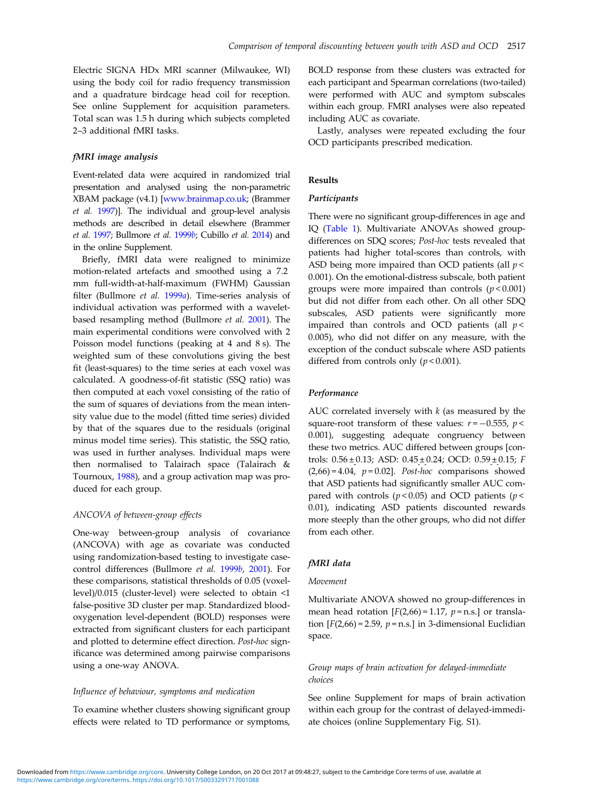Electric SIGNA HDx MRI scanner (Milwaukee, WI) using the body coil for radio frequency transmission and a quadrature birdcage head coil for reception. See online Supplement for acquisition parameters. Total scan was 1.5 h during which subjects completed 2–3 additional fMRI tasks.

# fMRI image analysis

Event-related data were acquired in randomized trial presentation and analysed using the non-parametric XBAM package (v4.1) [\[www.brainmap.co.uk](http://www.brainmap.co.uk); (Brammer et al. [1997](#page-10-0))]. The individual and group-level analysis methods are described in detail elsewhere (Brammer et al. [1997](#page-10-0); Bullmore et al. [1999](#page-10-0)b; Cubillo et al. [2014](#page-11-0)) and in the online Supplement.

Briefly, fMRI data were realigned to minimize motion-related artefacts and smoothed using a 7.2 mm full-width-at-half-maximum (FWHM) Gaussian filter (Bullmore et al. [1999](#page-10-0)a). Time-series analysis of individual activation was performed with a waveletbased resampling method (Bullmore et al. [2001\)](#page-10-0). The main experimental conditions were convolved with 2 Poisson model functions (peaking at 4 and 8 s). The weighted sum of these convolutions giving the best fit (least-squares) to the time series at each voxel was calculated. A goodness-of-fit statistic (SSQ ratio) was then computed at each voxel consisting of the ratio of the sum of squares of deviations from the mean intensity value due to the model (fitted time series) divided by that of the squares due to the residuals (original minus model time series). This statistic, the SSQ ratio, was used in further analyses. Individual maps were then normalised to Talairach space (Talairach & Tournoux, [1988](#page-13-0)), and a group activation map was produced for each group.

#### ANCOVA of between-group effects

One-way between-group analysis of covariance (ANCOVA) with age as covariate was conducted using randomization-based testing to investigate casecontrol differences (Bullmore et al. [1999](#page-10-0)b, [2001\)](#page-10-0). For these comparisons, statistical thresholds of 0.05 (voxellevel)/0.015 (cluster-level) were selected to obtain <1 false-positive 3D cluster per map. Standardized bloodoxygenation level-dependent (BOLD) responses were extracted from significant clusters for each participant and plotted to determine effect direction. Post-hoc significance was determined among pairwise comparisons using a one-way ANOVA.

# Influence of behaviour, symptoms and medication

To examine whether clusters showing significant group effects were related to TD performance or symptoms,

BOLD response from these clusters was extracted for each participant and Spearman correlations (two-tailed) were performed with AUC and symptom subscales within each group. FMRI analyses were also repeated including AUC as covariate.

Lastly, analyses were repeated excluding the four OCD participants prescribed medication.

# Results

#### Participants

There were no significant group-differences in age and IQ [\(Table 1\)](#page-5-0). Multivariate ANOVAs showed groupdifferences on SDQ scores; Post-hoc tests revealed that patients had higher total-scores than controls, with ASD being more impaired than OCD patients (all  $p$  < 0.001). On the emotional-distress subscale, both patient groups were more impaired than controls  $(p < 0.001)$ but did not differ from each other. On all other SDQ subscales, ASD patients were significantly more impaired than controls and OCD patients (all  $p <$ 0.005), who did not differ on any measure, with the exception of the conduct subscale where ASD patients differed from controls only  $(p < 0.001)$ .

#### Performance

AUC correlated inversely with  $k$  (as measured by the square-root transform of these values:  $r = -0.555$ ,  $p <$ 0.001), suggesting adequate congruency between these two metrics. AUC differed between groups [controls:  $0.56 \pm 0.13$ ; ASD:  $0.45 \pm 0.24$ ; OCD:  $0.59 \pm 0.15$ ; F  $(2,66) = 4.04$ ,  $p = 0.02$ ]. Post-hoc comparisons showed that ASD patients had significantly smaller AUC compared with controls ( $p$ <0.05) and OCD patients ( $p$ < 0.01), indicating ASD patients discounted rewards more steeply than the other groups, who did not differ from each other.

# fMRI data

#### Movement

Multivariate ANOVA showed no group-differences in mean head rotation  $[F(2,66) = 1.17, p = n.s.]$  or translation  $[F(2,66) = 2.59, p = n.s.]$  in 3-dimensional Euclidian space.

# Group maps of brain activation for delayed-immediate choices

See online Supplement for maps of brain activation within each group for the contrast of delayed-immediate choices (online Supplementary Fig. S1).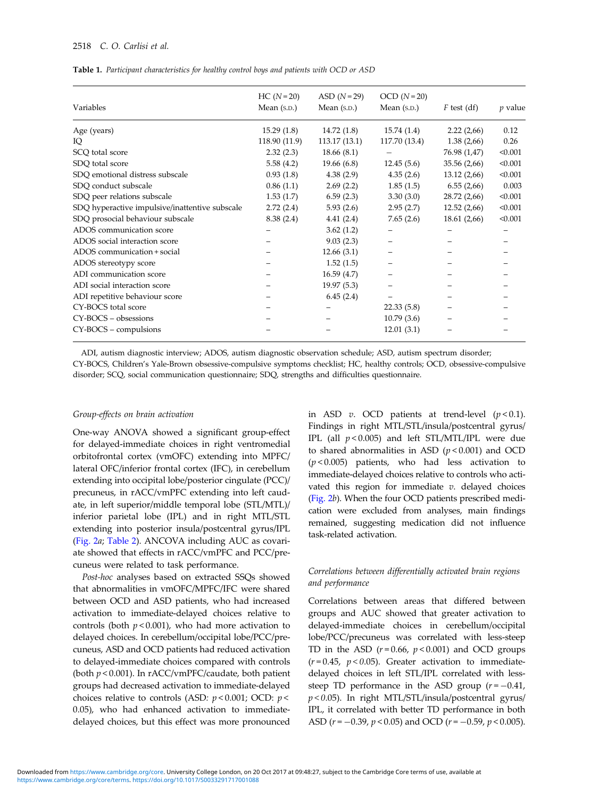<span id="page-5-0"></span>Table 1. Participant characteristics for healthy control boys and patients with OCD or ASD

| Variables                                      | $HC (N = 20)$<br>Mean $(S.D.)$ | $ASD (N=29)$<br>Mean (s.p.) | $OCD (N=20)$<br>Mean $(S.D.)$ | $F$ test (df) | <i>p</i> value |  |
|------------------------------------------------|--------------------------------|-----------------------------|-------------------------------|---------------|----------------|--|
| Age (years)                                    | 15.29(1.8)                     | 14.72(1.8)                  | 15.74(1.4)                    | 2.22(2,66)    | 0.12           |  |
| IQ                                             | 118.90 (11.9)                  | 113.17(13.1)                | 117.70 (13.4)                 | 1.38(2,66)    | 0.26           |  |
| SCQ total score                                | 2.32(2.3)                      | 18.66(8.1)                  |                               | 76.98 (1,47)  | < 0.001        |  |
| SDQ total score                                | 5.58(4.2)                      | 19.66(6.8)                  | 12.45(5.6)                    | 35.56 (2,66)  | < 0.001        |  |
| SDO emotional distress subscale                | 0.93(1.8)                      | 4.38(2.9)                   | 4.35(2.6)                     | 13.12(2,66)   | < 0.001        |  |
| SDQ conduct subscale                           | 0.86(1.1)                      | 2.69(2.2)                   | 1.85(1.5)                     | 6.55(2,66)    | 0.003          |  |
| SDQ peer relations subscale                    | 1.53(1.7)                      | 6.59(2.3)                   | 3.30(3.0)                     | 28.72 (2,66)  | < 0.001        |  |
| SDQ hyperactive impulsive/inattentive subscale | 2.72(2.4)                      | 5.93(2.6)                   | 2.95(2.7)                     | 12.52(2,66)   | < 0.001        |  |
| SDQ prosocial behaviour subscale               | 8.38(2.4)                      | 4.41(2.4)                   | 7.65(2.6)                     | 18.61(2,66)   | < 0.001        |  |
| ADOS communication score                       |                                | 3.62(1.2)                   |                               |               |                |  |
| ADOS social interaction score                  |                                | 9.03(2.3)                   |                               |               |                |  |
| ADOS communication + social                    |                                | 12.66(3.1)                  |                               |               |                |  |
| ADOS stereotypy score                          |                                | 1.52(1.5)                   |                               |               |                |  |
| ADI communication score                        |                                | 16.59(4.7)                  |                               |               |                |  |
| ADI social interaction score                   |                                | 19.97(5.3)                  |                               |               |                |  |
| ADI repetitive behaviour score                 |                                | 6.45(2.4)                   |                               |               |                |  |
| CY-BOCS total score                            |                                |                             | 22.33(5.8)                    |               |                |  |
| CY-BOCS - obsessions                           |                                |                             | 10.79(3.6)                    |               |                |  |
| CY-BOCS - compulsions                          |                                |                             | 12.01(3.1)                    |               |                |  |

ADI, autism diagnostic interview; ADOS, autism diagnostic observation schedule; ASD, autism spectrum disorder; CY-BOCS, Children's Yale-Brown obsessive-compulsive symptoms checklist; HC, healthy controls; OCD, obsessive-compulsive disorder; SCQ, social communication questionnaire; SDQ, strengths and difficulties questionnaire.

#### Group-effects on brain activation

One-way ANOVA showed a significant group-effect for delayed-immediate choices in right ventromedial orbitofrontal cortex (vmOFC) extending into MPFC/ lateral OFC/inferior frontal cortex (IFC), in cerebellum extending into occipital lobe/posterior cingulate (PCC)/ precuneus, in rACC/vmPFC extending into left caudate, in left superior/middle temporal lobe (STL/MTL)/ inferior parietal lobe (IPL) and in right MTL/STL extending into posterior insula/postcentral gyrus/IPL ([Fig. 2](#page-6-0)a; [Table 2\)](#page-7-0). ANCOVA including AUC as covariate showed that effects in rACC/vmPFC and PCC/precuneus were related to task performance.

Post-hoc analyses based on extracted SSQs showed that abnormalities in vmOFC/MPFC/IFC were shared between OCD and ASD patients, who had increased activation to immediate-delayed choices relative to controls (both  $p < 0.001$ ), who had more activation to delayed choices. In cerebellum/occipital lobe/PCC/precuneus, ASD and OCD patients had reduced activation to delayed-immediate choices compared with controls (both  $p$  < 0.001). In rACC/vmPFC/caudate, both patient groups had decreased activation to immediate-delayed choices relative to controls (ASD:  $p < 0.001$ ; OCD:  $p <$ 0.05), who had enhanced activation to immediatedelayed choices, but this effect was more pronounced

in ASD v. OCD patients at trend-level  $(p < 0.1)$ . Findings in right MTL/STL/insula/postcentral gyrus/ IPL (all  $p < 0.005$ ) and left STL/MTL/IPL were due to shared abnormalities in ASD  $(p < 0.001)$  and OCD  $(p < 0.005)$  patients, who had less activation to immediate-delayed choices relative to controls who activated this region for immediate  $v$ . delayed choices [\(Fig. 2](#page-6-0)b). When the four OCD patients prescribed medication were excluded from analyses, main findings remained, suggesting medication did not influence task-related activation.

# Correlations between differentially activated brain regions and performance

Correlations between areas that differed between groups and AUC showed that greater activation to delayed-immediate choices in cerebellum/occipital lobe/PCC/precuneus was correlated with less-steep TD in the ASD  $(r=0.66, p<0.001)$  and OCD groups  $(r=0.45, p<0.05)$ . Greater activation to immediatedelayed choices in left STL/IPL correlated with lesssteep TD performance in the ASD group  $(r = -0.41)$ ,  $p$  < 0.05). In right MTL/STL/insula/postcentral gyrus/ IPL, it correlated with better TD performance in both ASD ( $r = -0.39$ ,  $p < 0.05$ ) and OCD ( $r = -0.59$ ,  $p < 0.005$ ).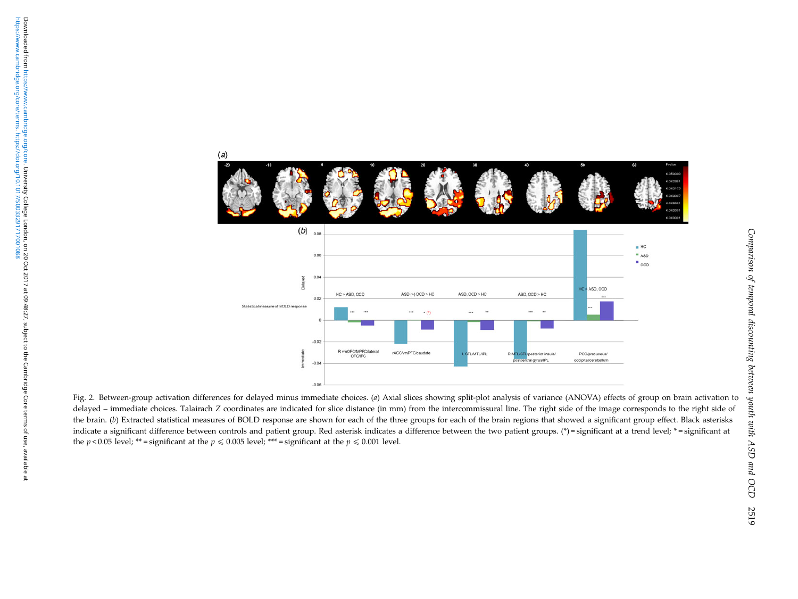<span id="page-6-0"></span>

Fig. 2. Between-group activation differences for delayed minus immediate choices. (a) Axial slices showing split-plot analysis of variance (ANOVA) effects of group on brain activation to delayed – immediate choices. Talairach Z coordinates are indicated for slice distance (in mm) from the intercommissural line. The right side of the image corresponds to the right side of the brain. (b) Extracted statistical measures of BOLD response are shown for each of the three groups for each of the brain regions that showed a significant group effect. Black asterisks indicate a significant difference between controls and patient group. Red asterisk indicates a difference between the two patient groups. (\*) = significant at a trend level; \* = significant at the  $p < 0.05$  level; \*\* = significant at the  $p \le 0.005$  level; \*\*\* = significant at the  $p \le 0.001$  level.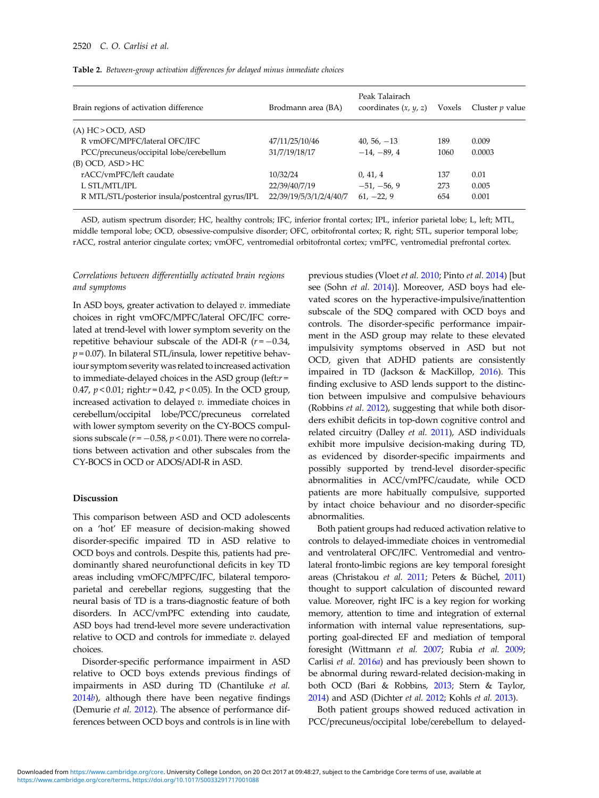| Brain regions of activation difference           | Brodmann area (BA)      | Peak Talairach<br>coordinates $(x, y, z)$ | Voxels | Cluster $p$ value |
|--------------------------------------------------|-------------------------|-------------------------------------------|--------|-------------------|
| $(A)$ HC > OCD, ASD                              |                         |                                           |        |                   |
| R vmOFC/MPFC/lateral OFC/IFC                     | 47/11/25/10/46          | $40, 56, -13$                             | 189    | 0.009             |
| PCC/precuneus/occipital lobe/cerebellum          | 31/7/19/18/17           | $-14, -89, 4$                             | 1060   | 0.0003            |
| $(B)$ OCD, ASD > HC                              |                         |                                           |        |                   |
| rACC/vmPFC/left caudate                          | 10/32/24                | 0.41.4                                    | 137    | 0.01              |
| L STL/MTL/IPL                                    | 22/39/40/7/19           | $-51, -56, 9$                             | 273    | 0.005             |
| R MTL/STL/posterior insula/postcentral gyrus/IPL | 22/39/19/5/3/1/2/4/40/7 | $61, -22, 9$                              | 654    | 0.001             |

<span id="page-7-0"></span>Table 2. Between-group activation differences for delayed minus immediate choices

ASD, autism spectrum disorder; HC, healthy controls; IFC, inferior frontal cortex; IPL, inferior parietal lobe; L, left; MTL, middle temporal lobe; OCD, obsessive-compulsive disorder; OFC, orbitofrontal cortex; R, right; STL, superior temporal lobe; rACC, rostral anterior cingulate cortex; vmOFC, ventromedial orbitofrontal cortex; vmPFC, ventromedial prefrontal cortex.

# Correlations between differentially activated brain regions and symptoms

In ASD boys, greater activation to delayed  $v$ . immediate choices in right vmOFC/MPFC/lateral OFC/IFC correlated at trend-level with lower symptom severity on the repetitive behaviour subscale of the ADI-R  $(r = -0.34,$  $p = 0.07$ ). In bilateral STL/insula, lower repetitive behaviour symptom severity was related to increased activation to immediate-delayed choices in the ASD group (left: $r =$ 0.47,  $p < 0.01$ ; right: $r = 0.42$ ,  $p < 0.05$ ). In the OCD group, increased activation to delayed  $v$ . immediate choices in cerebellum/occipital lobe/PCC/precuneus correlated with lower symptom severity on the CY-BOCS compulsions subscale ( $r = -0.58$ ,  $p < 0.01$ ). There were no correlations between activation and other subscales from the CY-BOCS in OCD or ADOS/ADI-R in ASD.

## Discussion

This comparison between ASD and OCD adolescents on a 'hot' EF measure of decision-making showed disorder-specific impaired TD in ASD relative to OCD boys and controls. Despite this, patients had predominantly shared neurofunctional deficits in key TD areas including vmOFC/MPFC/IFC, bilateral temporoparietal and cerebellar regions, suggesting that the neural basis of TD is a trans-diagnostic feature of both disorders. In ACC/vmPFC extending into caudate, ASD boys had trend-level more severe underactivation relative to OCD and controls for immediate  $v$ . delayed choices.

Disorder-specific performance impairment in ASD relative to OCD boys extends previous findings of impairments in ASD during TD (Chantiluke et al. [2014](#page-10-0)b), although there have been negative findings (Demurie et al. [2012\)](#page-11-0). The absence of performance differences between OCD boys and controls is in line with

previous studies (Vloet et al. [2010;](#page-13-0) Pinto et al. [2014](#page-12-0)) [but see (Sohn et al. [2014](#page-13-0))]. Moreover, ASD boys had elevated scores on the hyperactive-impulsive/inattention subscale of the SDQ compared with OCD boys and controls. The disorder-specific performance impairment in the ASD group may relate to these elevated impulsivity symptoms observed in ASD but not OCD, given that ADHD patients are consistently impaired in TD (Jackson & MacKillop, [2016](#page-11-0)). This finding exclusive to ASD lends support to the distinction between impulsive and compulsive behaviours (Robbins et al. [2012](#page-13-0)), suggesting that while both disorders exhibit deficits in top-down cognitive control and related circuitry (Dalley et al. [2011\)](#page-11-0), ASD individuals exhibit more impulsive decision-making during TD, as evidenced by disorder-specific impairments and possibly supported by trend-level disorder-specific abnormalities in ACC/vmPFC/caudate, while OCD patients are more habitually compulsive, supported by intact choice behaviour and no disorder-specific abnormalities.

Both patient groups had reduced activation relative to controls to delayed-immediate choices in ventromedial and ventrolateral OFC/IFC. Ventromedial and ventrolateral fronto-limbic regions are key temporal foresight areas (Christakou et al. [2011;](#page-10-0) Peters & Büchel, [2011\)](#page-12-0) thought to support calculation of discounted reward value. Moreover, right IFC is a key region for working memory, attention to time and integration of external information with internal value representations, supporting goal-directed EF and mediation of temporal foresight (Wittmann et al. [2007](#page-14-0); Rubia et al. [2009](#page-13-0); Carlisi et al. [2016](#page-10-0)a) and has previously been shown to be abnormal during reward-related decision-making in both OCD (Bari & Robbins, [2013](#page-10-0); Stern & Taylor, [2014](#page-13-0)) and ASD (Dichter et al. [2012;](#page-11-0) Kohls et al. [2013](#page-11-0)).

Both patient groups showed reduced activation in PCC/precuneus/occipital lobe/cerebellum to delayed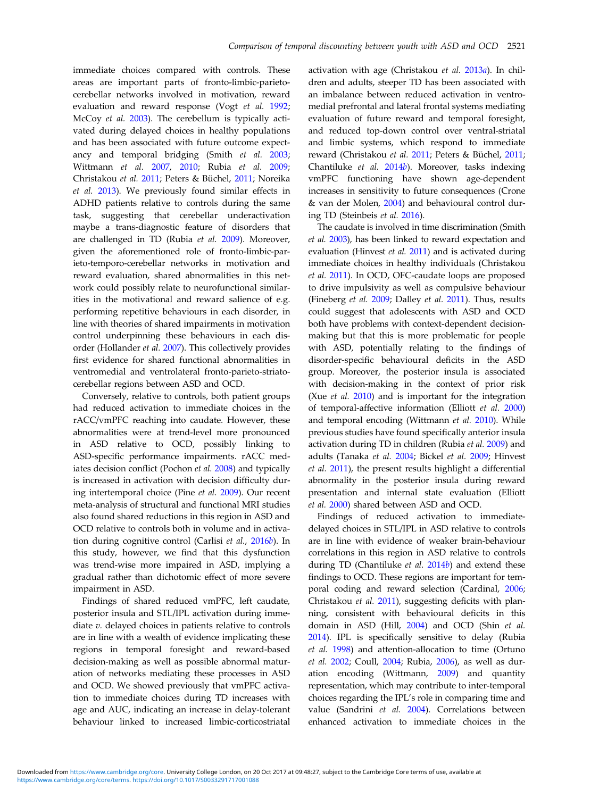immediate choices compared with controls. These areas are important parts of fronto-limbic-parietocerebellar networks involved in motivation, reward evaluation and reward response (Vogt et al. [1992](#page-13-0); McCoy et al. [2003\)](#page-12-0). The cerebellum is typically activated during delayed choices in healthy populations and has been associated with future outcome expectancy and temporal bridging (Smith et al. [2003](#page-13-0); Wittmann et al. [2007,](#page-14-0) [2010;](#page-14-0) Rubia et al. [2009](#page-13-0); Christakou et al. [2011;](#page-10-0) Peters & Büchel, [2011](#page-12-0); Noreika et al. [2013](#page-12-0)). We previously found similar effects in ADHD patients relative to controls during the same task, suggesting that cerebellar underactivation maybe a trans-diagnostic feature of disorders that are challenged in TD (Rubia et al. [2009](#page-13-0)). Moreover, given the aforementioned role of fronto-limbic-parieto-temporo-cerebellar networks in motivation and reward evaluation, shared abnormalities in this network could possibly relate to neurofunctional similarities in the motivational and reward salience of e.g. performing repetitive behaviours in each disorder, in line with theories of shared impairments in motivation control underpinning these behaviours in each disorder (Hollander et al. [2007](#page-11-0)). This collectively provides first evidence for shared functional abnormalities in ventromedial and ventrolateral fronto-parieto-striatocerebellar regions between ASD and OCD.

Conversely, relative to controls, both patient groups had reduced activation to immediate choices in the rACC/vmPFC reaching into caudate. However, these abnormalities were at trend-level more pronounced in ASD relative to OCD, possibly linking to ASD-specific performance impairments. rACC mediates decision conflict (Pochon et al. [2008\)](#page-12-0) and typically is increased in activation with decision difficulty during intertemporal choice (Pine et al. [2009](#page-12-0)). Our recent meta-analysis of structural and functional MRI studies also found shared reductions in this region in ASD and OCD relative to controls both in volume and in activation during cognitive control (Carlisi et al., [2016](#page-10-0)b). In this study, however, we find that this dysfunction was trend-wise more impaired in ASD, implying a gradual rather than dichotomic effect of more severe impairment in ASD.

Findings of shared reduced vmPFC, left caudate, posterior insula and STL/IPL activation during immediate v. delayed choices in patients relative to controls are in line with a wealth of evidence implicating these regions in temporal foresight and reward-based decision-making as well as possible abnormal maturation of networks mediating these processes in ASD and OCD. We showed previously that vmPFC activation to immediate choices during TD increases with age and AUC, indicating an increase in delay-tolerant behaviour linked to increased limbic-corticostriatal

activation with age (Christakou et al.  $2013a$  $2013a$ ). In children and adults, steeper TD has been associated with an imbalance between reduced activation in ventromedial prefrontal and lateral frontal systems mediating evaluation of future reward and temporal foresight, and reduced top-down control over ventral-striatal and limbic systems, which respond to immediate reward (Christakou et al. [2011;](#page-10-0) Peters & Büchel, [2011](#page-12-0); Chantiluke et al. [2014](#page-10-0)b). Moreover, tasks indexing vmPFC functioning have shown age-dependent increases in sensitivity to future consequences (Crone & van der Molen, [2004\)](#page-11-0) and behavioural control during TD (Steinbeis et al. [2016](#page-13-0)).

The caudate is involved in time discrimination (Smith et al. [2003](#page-13-0)), has been linked to reward expectation and evaluation (Hinvest et al. [2011\)](#page-11-0) and is activated during immediate choices in healthy individuals (Christakou et al. [2011\)](#page-10-0). In OCD, OFC-caudate loops are proposed to drive impulsivity as well as compulsive behaviour (Fineberg et al. [2009;](#page-11-0) Dalley et al. [2011\)](#page-11-0). Thus, results could suggest that adolescents with ASD and OCD both have problems with context-dependent decisionmaking but that this is more problematic for people with ASD, potentially relating to the findings of disorder-specific behavioural deficits in the ASD group. Moreover, the posterior insula is associated with decision-making in the context of prior risk (Xue et al. [2010](#page-14-0)) and is important for the integration of temporal-affective information (Elliott et al. [2000\)](#page-11-0) and temporal encoding (Wittmann et al. [2010\)](#page-14-0). While previous studies have found specifically anterior insula activation during TD in children (Rubia et al. [2009](#page-13-0)) and adults (Tanaka et al. [2004](#page-13-0); Bickel et al. [2009;](#page-10-0) Hinvest et al. [2011](#page-11-0)), the present results highlight a differential abnormality in the posterior insula during reward presentation and internal state evaluation (Elliott et al. [2000\)](#page-11-0) shared between ASD and OCD.

Findings of reduced activation to immediatedelayed choices in STL/IPL in ASD relative to controls are in line with evidence of weaker brain-behaviour correlations in this region in ASD relative to controls during TD (Chantiluke  $et$  al.  $2014b$  $2014b$ ) and extend these findings to OCD. These regions are important for temporal coding and reward selection (Cardinal, [2006](#page-10-0); Christakou et al. [2011](#page-10-0)), suggesting deficits with planning, consistent with behavioural deficits in this domain in ASD (Hill, [2004](#page-11-0)) and OCD (Shin et al. [2014\)](#page-13-0). IPL is specifically sensitive to delay (Rubia et al. [1998\)](#page-13-0) and attention-allocation to time (Ortuno et al. [2002](#page-12-0); Coull, [2004;](#page-11-0) Rubia, [2006](#page-13-0)), as well as duration encoding (Wittmann, [2009](#page-14-0)) and quantity representation, which may contribute to inter-temporal choices regarding the IPL's role in comparing time and value (Sandrini et al. [2004](#page-13-0)). Correlations between enhanced activation to immediate choices in the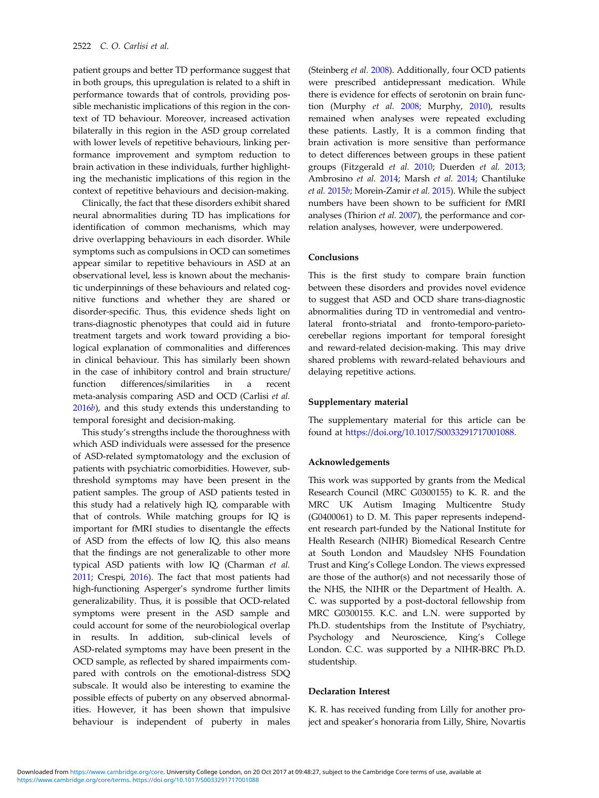patient groups and better TD performance suggest that in both groups, this upregulation is related to a shift in performance towards that of controls, providing possible mechanistic implications of this region in the context of TD behaviour. Moreover, increased activation bilaterally in this region in the ASD group correlated with lower levels of repetitive behaviours, linking performance improvement and symptom reduction to brain activation in these individuals, further highlighting the mechanistic implications of this region in the context of repetitive behaviours and decision-making.

Clinically, the fact that these disorders exhibit shared neural abnormalities during TD has implications for identification of common mechanisms, which may drive overlapping behaviours in each disorder. While symptoms such as compulsions in OCD can sometimes appear similar to repetitive behaviours in ASD at an observational level, less is known about the mechanistic underpinnings of these behaviours and related cognitive functions and whether they are shared or disorder-specific. Thus, this evidence sheds light on trans-diagnostic phenotypes that could aid in future treatment targets and work toward providing a biological explanation of commonalities and differences in clinical behaviour. This has similarly been shown in the case of inhibitory control and brain structure/ function differences/similarities in a recent meta-analysis comparing ASD and OCD (Carlisi et al. [2016](#page-10-0)b), and this study extends this understanding to temporal foresight and decision-making.

This study's strengths include the thoroughness with which ASD individuals were assessed for the presence of ASD-related symptomatology and the exclusion of patients with psychiatric comorbidities. However, subthreshold symptoms may have been present in the patient samples. The group of ASD patients tested in this study had a relatively high IQ, comparable with that of controls. While matching groups for IQ is important for fMRI studies to disentangle the effects of ASD from the effects of low IQ, this also means that the findings are not generalizable to other more typical ASD patients with low IQ (Charman et al. [2011;](#page-10-0) Crespi, [2016](#page-11-0)). The fact that most patients had high-functioning Asperger's syndrome further limits generalizability. Thus, it is possible that OCD-related symptoms were present in the ASD sample and could account for some of the neurobiological overlap in results. In addition, sub-clinical levels of ASD-related symptoms may have been present in the OCD sample, as reflected by shared impairments compared with controls on the emotional-distress SDQ subscale. It would also be interesting to examine the possible effects of puberty on any observed abnormalities. However, it has been shown that impulsive behaviour is independent of puberty in males

(Steinberg et al. [2008](#page-13-0)). Additionally, four OCD patients were prescribed antidepressant medication. While there is evidence for effects of serotonin on brain function (Murphy et al. [2008;](#page-12-0) Murphy, [2010](#page-12-0)), results remained when analyses were repeated excluding these patients. Lastly, It is a common finding that brain activation is more sensitive than performance to detect differences between groups in these patient groups (Fitzgerald et al. [2010](#page-11-0); Duerden et al. [2013](#page-11-0); Ambrosino et al. [2014](#page-10-0); Marsh et al. [2014;](#page-12-0) Chantiluke et al. [2015](#page-10-0)b; Morein-Zamir et al. [2015\)](#page-12-0). While the subject numbers have been shown to be sufficient for fMRI analyses (Thirion et al. [2007\)](#page-13-0), the performance and correlation analyses, however, were underpowered.

#### Conclusions

This is the first study to compare brain function between these disorders and provides novel evidence to suggest that ASD and OCD share trans-diagnostic abnormalities during TD in ventromedial and ventrolateral fronto-striatal and fronto-temporo-parietocerebellar regions important for temporal foresight and reward-related decision-making. This may drive shared problems with reward-related behaviours and delaying repetitive actions.

#### Supplementary material

The supplementary material for this article can be found at <https://doi.org/10.1017/S0033291717001088>.

## Acknowledgements

This work was supported by grants from the Medical Research Council (MRC G0300155) to K. R. and the MRC UK Autism Imaging Multicentre Study (G0400061) to D. M. This paper represents independent research part-funded by the National Institute for Health Research (NIHR) Biomedical Research Centre at South London and Maudsley NHS Foundation Trust and King's College London. The views expressed are those of the author(s) and not necessarily those of the NHS, the NIHR or the Department of Health. A. C. was supported by a post-doctoral fellowship from MRC G0300155. K.C. and L.N. were supported by Ph.D. studentships from the Institute of Psychiatry, Psychology and Neuroscience, King's College London. C.C. was supported by a NIHR-BRC Ph.D. studentship.

## Declaration Interest

K. R. has received funding from Lilly for another project and speaker's honoraria from Lilly, Shire, Novartis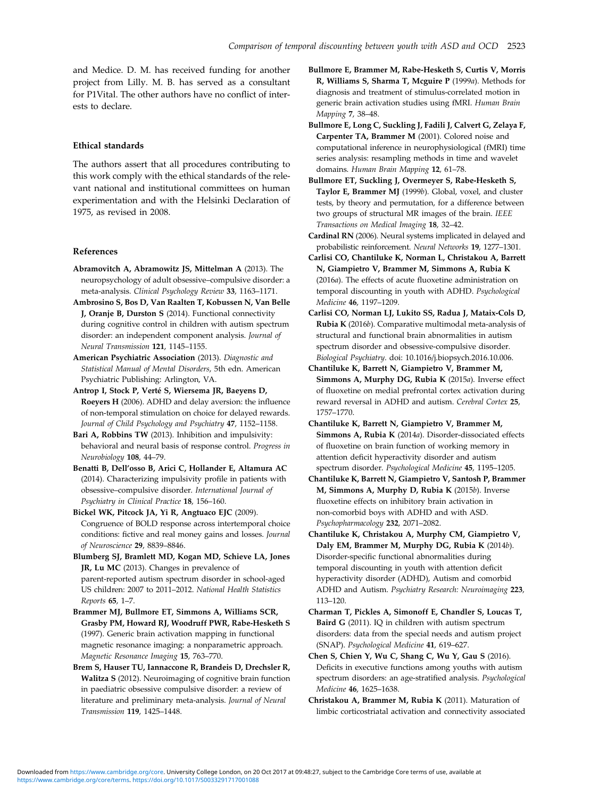<span id="page-10-0"></span>and Medice. D. M. has received funding for another project from Lilly. M. B. has served as a consultant for P1Vital. The other authors have no conflict of interests to declare.

#### Ethical standards

The authors assert that all procedures contributing to this work comply with the ethical standards of the relevant national and institutional committees on human experimentation and with the Helsinki Declaration of 1975, as revised in 2008.

#### References

- Abramovitch A, Abramowitz JS, Mittelman A (2013). The neuropsychology of adult obsessive–compulsive disorder: a meta-analysis. Clinical Psychology Review 33, 1163–1171.
- Ambrosino S, Bos D, Van Raalten T, Kobussen N, Van Belle J, Oranje B, Durston S (2014). Functional connectivity during cognitive control in children with autism spectrum disorder: an independent component analysis. Journal of Neural Transmission 121, 1145–1155.
- American Psychiatric Association (2013). Diagnostic and Statistical Manual of Mental Disorders, 5th edn. American Psychiatric Publishing: Arlington, VA.
- Antrop I, Stock P, Verté S, Wiersema JR, Baeyens D, Roeyers H (2006). ADHD and delay aversion: the influence of non-temporal stimulation on choice for delayed rewards. Journal of Child Psychology and Psychiatry 47, 1152–1158.
- Bari A, Robbins TW (2013). Inhibition and impulsivity: behavioral and neural basis of response control. Progress in Neurobiology 108, 44–79.
- Benatti B, Dell'osso B, Arici C, Hollander E, Altamura AC (2014). Characterizing impulsivity profile in patients with obsessive–compulsive disorder. International Journal of Psychiatry in Clinical Practice 18, 156–160.
- Bickel WK, Pitcock JA, Yi R, Angtuaco EJC (2009). Congruence of BOLD response across intertemporal choice conditions: fictive and real money gains and losses. Journal of Neuroscience 29, 8839–8846.
- Blumberg SJ, Bramlett MD, Kogan MD, Schieve LA, Jones JR, Lu MC (2013). Changes in prevalence of parent-reported autism spectrum disorder in school-aged US children: 2007 to 2011–2012. National Health Statistics Reports 65, 1–7.
- Brammer MJ, Bullmore ET, Simmons A, Williams SCR, Grasby PM, Howard RJ, Woodruff PWR, Rabe-Hesketh S (1997). Generic brain activation mapping in functional magnetic resonance imaging: a nonparametric approach. Magnetic Resonance Imaging 15, 763–770.
- Brem S, Hauser TU, Iannaccone R, Brandeis D, Drechsler R, Walitza S (2012). Neuroimaging of cognitive brain function in paediatric obsessive compulsive disorder: a review of literature and preliminary meta-analysis. Journal of Neural Transmission 119, 1425–1448.
- Bullmore E, Brammer M, Rabe-Hesketh S, Curtis V, Morris R, Williams S, Sharma T, Mcguire P (1999a). Methods for diagnosis and treatment of stimulus-correlated motion in generic brain activation studies using fMRI. Human Brain Mapping 7, 38–48.
- Bullmore E, Long C, Suckling J, Fadili J, Calvert G, Zelaya F, Carpenter TA, Brammer M (2001). Colored noise and computational inference in neurophysiological (fMRI) time series analysis: resampling methods in time and wavelet domains. Human Brain Mapping 12, 61–78.
- Bullmore ET, Suckling J, Overmeyer S, Rabe-Hesketh S, Taylor E, Brammer MJ (1999b). Global, voxel, and cluster tests, by theory and permutation, for a difference between two groups of structural MR images of the brain. IEEE Transactions on Medical Imaging 18, 32–42.
- Cardinal RN (2006). Neural systems implicated in delayed and probabilistic reinforcement. Neural Networks 19, 1277–1301.
- Carlisi CO, Chantiluke K, Norman L, Christakou A, Barrett N, Giampietro V, Brammer M, Simmons A, Rubia K (2016a). The effects of acute fluoxetine administration on temporal discounting in youth with ADHD. Psychological Medicine 46, 1197–1209.
- Carlisi CO, Norman LJ, Lukito SS, Radua J, Mataix-Cols D, Rubia K (2016b). Comparative multimodal meta-analysis of structural and functional brain abnormalities in autism spectrum disorder and obsessive-compulsive disorder. Biological Psychiatry. doi: 10.1016/j.biopsych.2016.10.006.
- Chantiluke K, Barrett N, Giampietro V, Brammer M, Simmons A, Murphy DG, Rubia K (2015a). Inverse effect of fluoxetine on medial prefrontal cortex activation during reward reversal in ADHD and autism. Cerebral Cortex 25, 1757–1770.
- Chantiluke K, Barrett N, Giampietro V, Brammer M, Simmons A, Rubia K (2014a). Disorder-dissociated effects of fluoxetine on brain function of working memory in attention deficit hyperactivity disorder and autism spectrum disorder. Psychological Medicine 45, 1195–1205.
- Chantiluke K, Barrett N, Giampietro V, Santosh P, Brammer M, Simmons A, Murphy D, Rubia K (2015b). Inverse fluoxetine effects on inhibitory brain activation in non-comorbid boys with ADHD and with ASD. Psychopharmacology 232, 2071–2082.
- Chantiluke K, Christakou A, Murphy CM, Giampietro V, Daly EM, Brammer M, Murphy DG, Rubia K (2014b). Disorder-specific functional abnormalities during temporal discounting in youth with attention deficit hyperactivity disorder (ADHD), Autism and comorbid ADHD and Autism. Psychiatry Research: Neuroimaging 223, 113–120.
- Charman T, Pickles A, Simonoff E, Chandler S, Loucas T, Baird G (2011). IQ in children with autism spectrum disorders: data from the special needs and autism project (SNAP). Psychological Medicine 41, 619–627.
- Chen S, Chien Y, Wu C, Shang C, Wu Y, Gau S (2016). Deficits in executive functions among youths with autism spectrum disorders: an age-stratified analysis. Psychological Medicine 46, 1625–1638.
- Christakou A, Brammer M, Rubia K (2011). Maturation of limbic corticostriatal activation and connectivity associated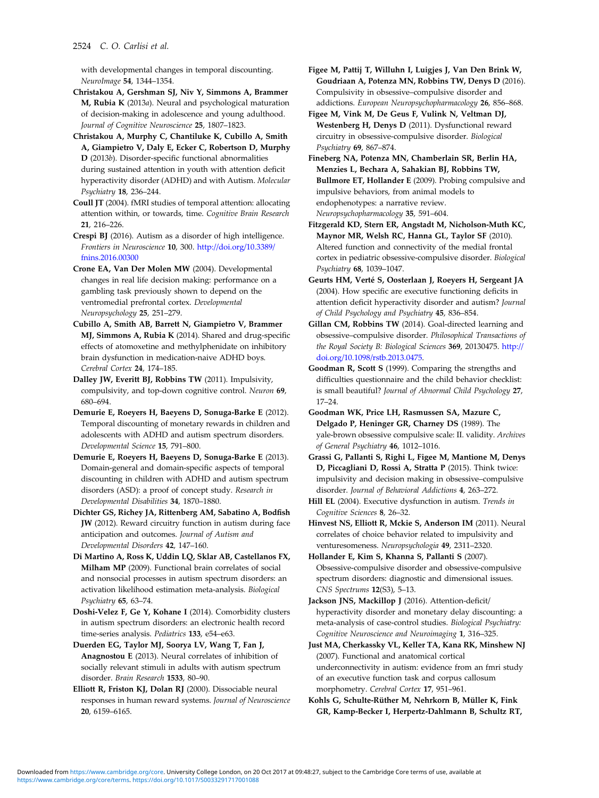<span id="page-11-0"></span>with developmental changes in temporal discounting. NeuroImage 54, 1344–1354.

Christakou A, Gershman SJ, Niv Y, Simmons A, Brammer M, Rubia K (2013a). Neural and psychological maturation of decision-making in adolescence and young adulthood. Journal of Cognitive Neuroscience 25, 1807–1823.

Christakou A, Murphy C, Chantiluke K, Cubillo A, Smith A, Giampietro V, Daly E, Ecker C, Robertson D, Murphy D (2013b). Disorder-specific functional abnormalities during sustained attention in youth with attention deficit hyperactivity disorder (ADHD) and with Autism. Molecular Psychiatry 18, 236–244.

Coull JT (2004). fMRI studies of temporal attention: allocating attention within, or towards, time. Cognitive Brain Research 21, 216–226.

Crespi BJ (2016). Autism as a disorder of high intelligence. Frontiers in Neuroscience 10, 300. [http://doi.org/10.3389/](http://doi.org/10.3389/fnins.2016.00300) [fnins.2016.00300](http://doi.org/10.3389/fnins.2016.00300)

Crone EA, Van Der Molen MW (2004). Developmental changes in real life decision making: performance on a gambling task previously shown to depend on the ventromedial prefrontal cortex. Developmental Neuropsychology 25, 251–279.

Cubillo A, Smith AB, Barrett N, Giampietro V, Brammer MJ, Simmons A, Rubia K (2014). Shared and drug-specific effects of atomoxetine and methylphenidate on inhibitory brain dysfunction in medication-naive ADHD boys. Cerebral Cortex 24, 174–185.

Dalley JW, Everitt BJ, Robbins TW (2011). Impulsivity, compulsivity, and top-down cognitive control. Neuron 69, 680–694.

Demurie E, Roeyers H, Baeyens D, Sonuga-Barke E (2012). Temporal discounting of monetary rewards in children and adolescents with ADHD and autism spectrum disorders. Developmental Science 15, 791–800.

Demurie E, Roeyers H, Baeyens D, Sonuga-Barke E (2013). Domain-general and domain-specific aspects of temporal discounting in children with ADHD and autism spectrum disorders (ASD): a proof of concept study. Research in Developmental Disabilities 34, 1870–1880.

Dichter GS, Richey JA, Rittenberg AM, Sabatino A, Bodfish JW (2012). Reward circuitry function in autism during face anticipation and outcomes. Journal of Autism and Developmental Disorders 42, 147–160.

Di Martino A, Ross K, Uddin LQ, Sklar AB, Castellanos FX, Milham MP (2009). Functional brain correlates of social and nonsocial processes in autism spectrum disorders: an activation likelihood estimation meta-analysis. Biological Psychiatry 65, 63–74.

Doshi-Velez F, Ge Y, Kohane I (2014). Comorbidity clusters in autism spectrum disorders: an electronic health record time-series analysis. Pediatrics 133, e54–e63.

Duerden EG, Taylor MJ, Soorya LV, Wang T, Fan J, Anagnostou E (2013). Neural correlates of inhibition of socially relevant stimuli in adults with autism spectrum disorder. Brain Research 1533, 80–90.

Elliott R, Friston KJ, Dolan RJ (2000). Dissociable neural responses in human reward systems. Journal of Neuroscience 20, 6159–6165.

Figee M, Pattij T, Willuhn I, Luigjes J, Van Den Brink W, Goudriaan A, Potenza MN, Robbins TW, Denys D (2016). Compulsivity in obsessive–compulsive disorder and addictions. European Neuropsychopharmacology 26, 856–868.

Figee M, Vink M, De Geus F, Vulink N, Veltman DJ, Westenberg H, Denys D (2011). Dysfunctional reward circuitry in obsessive-compulsive disorder. Biological Psychiatry 69, 867–874.

Fineberg NA, Potenza MN, Chamberlain SR, Berlin HA, Menzies L, Bechara A, Sahakian BJ, Robbins TW, Bullmore ET, Hollander E (2009). Probing compulsive and impulsive behaviors, from animal models to endophenotypes: a narrative review. Neuropsychopharmacology 35, 591–604.

Fitzgerald KD, Stern ER, Angstadt M, Nicholson-Muth KC, Maynor MR, Welsh RC, Hanna GL, Taylor SF (2010). Altered function and connectivity of the medial frontal cortex in pediatric obsessive-compulsive disorder. Biological Psychiatry 68, 1039–1047.

Geurts HM, Verté S, Oosterlaan J, Roeyers H, Sergeant JA (2004). How specific are executive functioning deficits in attention deficit hyperactivity disorder and autism? Journal of Child Psychology and Psychiatry 45, 836–854.

Gillan CM, Robbins TW (2014). Goal-directed learning and obsessive–compulsive disorder. Philosophical Transactions of the Royal Society B: Biological Sciences 369, 20130475. [http://](http://doi.org/10.1098/rstb.2013.0475) [doi.org/10.1098/rstb.2013.0475.](http://doi.org/10.1098/rstb.2013.0475)

Goodman R, Scott S (1999). Comparing the strengths and difficulties questionnaire and the child behavior checklist: is small beautiful? Journal of Abnormal Child Psychology 27, 17–24.

Goodman WK, Price LH, Rasmussen SA, Mazure C, Delgado P, Heninger GR, Charney DS (1989). The yale-brown obsessive compulsive scale: II. validity. Archives of General Psychiatry 46, 1012–1016.

Grassi G, Pallanti S, Righi L, Figee M, Mantione M, Denys D, Piccagliani D, Rossi A, Stratta P (2015). Think twice: impulsivity and decision making in obsessive–compulsive disorder. Journal of Behavioral Addictions 4, 263–272.

Hill EL (2004). Executive dysfunction in autism. Trends in Cognitive Sciences 8, 26–32.

Hinvest NS, Elliott R, Mckie S, Anderson IM (2011). Neural correlates of choice behavior related to impulsivity and venturesomeness. Neuropsychologia 49, 2311–2320.

Hollander E, Kim S, Khanna S, Pallanti S (2007). Obsessive-compulsive disorder and obsessive-compulsive spectrum disorders: diagnostic and dimensional issues. CNS Spectrums 12(S3), 5–13.

Jackson JNS, Mackillop J (2016). Attention-deficit/ hyperactivity disorder and monetary delay discounting: a meta-analysis of case-control studies. Biological Psychiatry: Cognitive Neuroscience and Neuroimaging 1, 316–325.

Just MA, Cherkassky VL, Keller TA, Kana RK, Minshew NJ (2007). Functional and anatomical cortical underconnectivity in autism: evidence from an fmri study of an executive function task and corpus callosum morphometry. Cerebral Cortex 17, 951–961.

Kohls G, Schulte-Rüther M, Nehrkorn B, Müller K, Fink GR, Kamp-Becker I, Herpertz-Dahlmann B, Schultz RT,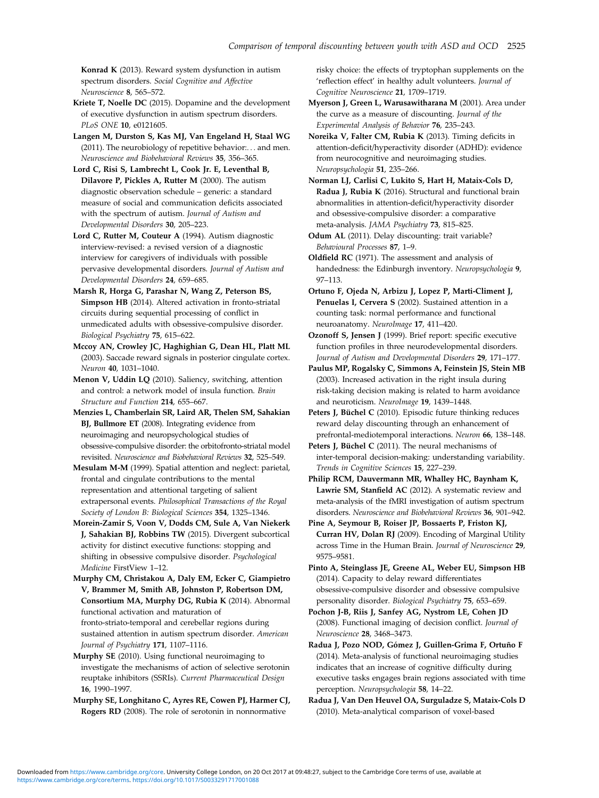<span id="page-12-0"></span>Konrad K (2013). Reward system dysfunction in autism spectrum disorders. Social Cognitive and Affective Neuroscience 8, 565–572.

Kriete T, Noelle DC (2015). Dopamine and the development of executive dysfunction in autism spectrum disorders. PLoS ONE 10, e0121605.

Langen M, Durston S, Kas MJ, Van Engeland H, Staal WG (2011). The neurobiology of repetitive behavior:... and men. Neuroscience and Biobehavioral Reviews 35, 356–365.

Lord C, Risi S, Lambrecht L, Cook Jr. E, Leventhal B, Dilavore P, Pickles A, Rutter M (2000). The autism diagnostic observation schedule – generic: a standard measure of social and communication deficits associated with the spectrum of autism. Journal of Autism and Developmental Disorders 30, 205–223.

Lord C, Rutter M, Couteur A (1994). Autism diagnostic interview-revised: a revised version of a diagnostic interview for caregivers of individuals with possible pervasive developmental disorders. Journal of Autism and Developmental Disorders 24, 659–685.

Marsh R, Horga G, Parashar N, Wang Z, Peterson BS, Simpson HB (2014). Altered activation in fronto-striatal circuits during sequential processing of conflict in unmedicated adults with obsessive-compulsive disorder. Biological Psychiatry 75, 615–622.

Mccoy AN, Crowley JC, Haghighian G, Dean HL, Platt ML (2003). Saccade reward signals in posterior cingulate cortex. Neuron 40, 1031–1040.

Menon V, Uddin LQ (2010). Saliency, switching, attention and control: a network model of insula function. Brain Structure and Function 214, 655–667.

Menzies L, Chamberlain SR, Laird AR, Thelen SM, Sahakian BJ, Bullmore ET (2008). Integrating evidence from neuroimaging and neuropsychological studies of obsessive-compulsive disorder: the orbitofronto-striatal model revisited. Neuroscience and Biobehavioral Reviews 32, 525–549.

Mesulam M-M (1999). Spatial attention and neglect: parietal, frontal and cingulate contributions to the mental representation and attentional targeting of salient extrapersonal events. Philosophical Transactions of the Royal Society of London B: Biological Sciences 354, 1325–1346.

Morein-Zamir S, Voon V, Dodds CM, Sule A, Van Niekerk J, Sahakian BJ, Robbins TW (2015). Divergent subcortical activity for distinct executive functions: stopping and shifting in obsessive compulsive disorder. Psychological Medicine FirstView 1–12.

Murphy CM, Christakou A, Daly EM, Ecker C, Giampietro V, Brammer M, Smith AB, Johnston P, Robertson DM, Consortium MA, Murphy DG, Rubia K (2014). Abnormal functional activation and maturation of fronto-striato-temporal and cerebellar regions during sustained attention in autism spectrum disorder. American Journal of Psychiatry 171, 1107–1116.

Murphy SE (2010). Using functional neuroimaging to investigate the mechanisms of action of selective serotonin reuptake inhibitors (SSRIs). Current Pharmaceutical Design 16, 1990–1997.

Murphy SE, Longhitano C, Ayres RE, Cowen PJ, Harmer CJ, Rogers RD (2008). The role of serotonin in nonnormative

risky choice: the effects of tryptophan supplements on the 'reflection effect' in healthy adult volunteers. Journal of Cognitive Neuroscience 21, 1709–1719.

Myerson J, Green L, Warusawitharana M (2001). Area under the curve as a measure of discounting. Journal of the Experimental Analysis of Behavior 76, 235–243.

Noreika V, Falter CM, Rubia K (2013). Timing deficits in attention-deficit/hyperactivity disorder (ADHD): evidence from neurocognitive and neuroimaging studies. Neuropsychologia 51, 235–266.

Norman LJ, Carlisi C, Lukito S, Hart H, Mataix-Cols D, Radua J, Rubia K (2016). Structural and functional brain abnormalities in attention-deficit/hyperactivity disorder and obsessive-compulsive disorder: a comparative meta-analysis. JAMA Psychiatry 73, 815–825.

Odum AL (2011). Delay discounting: trait variable? Behavioural Processes 87, 1–9.

Oldfield RC (1971). The assessment and analysis of handedness: the Edinburgh inventory. Neuropsychologia 9, 97–113.

Ortuno F, Ojeda N, Arbizu J, Lopez P, Marti-Climent J, Penuelas I, Cervera S (2002). Sustained attention in a counting task: normal performance and functional neuroanatomy. NeuroImage 17, 411–420.

Ozonoff S, Jensen J (1999). Brief report: specific executive function profiles in three neurodevelopmental disorders. Journal of Autism and Developmental Disorders 29, 171–177.

Paulus MP, Rogalsky C, Simmons A, Feinstein JS, Stein MB (2003). Increased activation in the right insula during risk-taking decision making is related to harm avoidance and neuroticism. NeuroImage 19, 1439–1448.

Peters J, Büchel C (2010). Episodic future thinking reduces reward delay discounting through an enhancement of prefrontal-mediotemporal interactions. Neuron 66, 138–148.

Peters J, Büchel C (2011). The neural mechanisms of inter-temporal decision-making: understanding variability. Trends in Cognitive Sciences 15, 227–239.

Philip RCM, Dauvermann MR, Whalley HC, Baynham K, Lawrie SM, Stanfield AC (2012). A systematic review and meta-analysis of the fMRI investigation of autism spectrum disorders. Neuroscience and Biobehavioral Reviews 36, 901–942.

Pine A, Seymour B, Roiser JP, Bossaerts P, Friston KJ, Curran HV, Dolan RJ (2009). Encoding of Marginal Utility across Time in the Human Brain. Journal of Neuroscience 29, 9575–9581.

Pinto A, Steinglass JE, Greene AL, Weber EU, Simpson HB (2014). Capacity to delay reward differentiates obsessive-compulsive disorder and obsessive compulsive personality disorder. Biological Psychiatry 75, 653–659.

Pochon J-B, Riis J, Sanfey AG, Nystrom LE, Cohen JD (2008). Functional imaging of decision conflict. Journal of Neuroscience 28, 3468–3473.

Radua J, Pozo NOD, Gómez J, Guillen-Grima F, Ortuño F (2014). Meta-analysis of functional neuroimaging studies indicates that an increase of cognitive difficulty during executive tasks engages brain regions associated with time perception. Neuropsychologia 58, 14–22.

Radua J, Van Den Heuvel OA, Surguladze S, Mataix-Cols D (2010). Meta-analytical comparison of voxel-based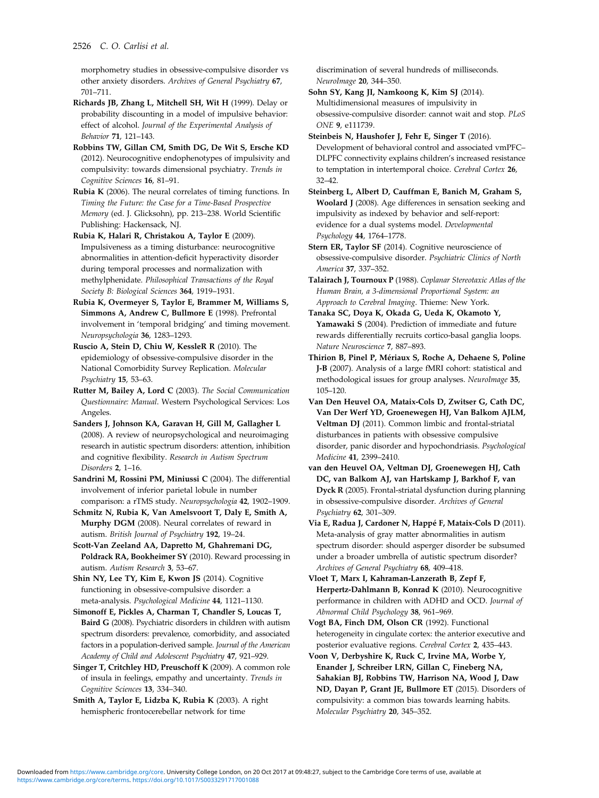<span id="page-13-0"></span>morphometry studies in obsessive-compulsive disorder vs other anxiety disorders. Archives of General Psychiatry 67, 701–711.

Richards JB, Zhang L, Mitchell SH, Wit H (1999). Delay or probability discounting in a model of impulsive behavior: effect of alcohol. Journal of the Experimental Analysis of Behavior 71, 121–143.

Robbins TW, Gillan CM, Smith DG, De Wit S, Ersche KD (2012). Neurocognitive endophenotypes of impulsivity and compulsivity: towards dimensional psychiatry. Trends in Cognitive Sciences 16, 81–91.

Rubia K (2006). The neural correlates of timing functions. In Timing the Future: the Case for a Time-Based Prospective Memory (ed. J. Glicksohn), pp. 213–238. World Scientific Publishing: Hackensack, NJ.

Rubia K, Halari R, Christakou A, Taylor E (2009). Impulsiveness as a timing disturbance: neurocognitive abnormalities in attention-deficit hyperactivity disorder during temporal processes and normalization with methylphenidate. Philosophical Transactions of the Royal Society B: Biological Sciences 364, 1919–1931.

Rubia K, Overmeyer S, Taylor E, Brammer M, Williams S, Simmons A, Andrew C, Bullmore E (1998). Prefrontal involvement in 'temporal bridging' and timing movement. Neuropsychologia 36, 1283–1293.

Ruscio A, Stein D, Chiu W, KessleR R (2010). The epidemiology of obsessive-compulsive disorder in the National Comorbidity Survey Replication. Molecular Psychiatry 15, 53–63.

Rutter M, Bailey A, Lord C (2003). The Social Communication Questionnaire: Manual. Western Psychological Services: Los Angeles.

Sanders J, Johnson KA, Garavan H, Gill M, Gallagher L (2008). A review of neuropsychological and neuroimaging research in autistic spectrum disorders: attention, inhibition and cognitive flexibility. Research in Autism Spectrum Disorders 2, 1-16.

Sandrini M, Rossini PM, Miniussi C (2004). The differential involvement of inferior parietal lobule in number comparison: a rTMS study. Neuropsychologia 42, 1902–1909.

Schmitz N, Rubia K, Van Amelsvoort T, Daly E, Smith A, Murphy DGM (2008). Neural correlates of reward in autism. British Journal of Psychiatry 192, 19–24.

Scott-Van Zeeland AA, Dapretto M, Ghahremani DG, Poldrack RA, Bookheimer SY (2010). Reward processing in autism. Autism Research 3, 53–67.

Shin NY, Lee TY, Kim E, Kwon JS (2014). Cognitive functioning in obsessive-compulsive disorder: a meta-analysis. Psychological Medicine 44, 1121–1130.

Simonoff E, Pickles A, Charman T, Chandler S, Loucas T, Baird G (2008). Psychiatric disorders in children with autism spectrum disorders: prevalence, comorbidity, and associated factors in a population-derived sample. Journal of the American Academy of Child and Adolescent Psychiatry 47, 921–929.

Singer T, Critchley HD, Preuschoff K (2009). A common role of insula in feelings, empathy and uncertainty. Trends in Cognitive Sciences 13, 334–340.

Smith A, Taylor E, Lidzba K, Rubia K (2003). A right hemispheric frontocerebellar network for time

discrimination of several hundreds of milliseconds. NeuroImage 20, 344–350.

Sohn SY, Kang JI, Namkoong K, Kim SJ (2014). Multidimensional measures of impulsivity in obsessive-compulsive disorder: cannot wait and stop. PLoS ONE 9, e111739.

Steinbeis N, Haushofer J, Fehr E, Singer T (2016). Development of behavioral control and associated vmPFC– DLPFC connectivity explains children's increased resistance to temptation in intertemporal choice. Cerebral Cortex 26, 32–42.

Steinberg L, Albert D, Cauffman E, Banich M, Graham S, Woolard J (2008). Age differences in sensation seeking and impulsivity as indexed by behavior and self-report: evidence for a dual systems model. Developmental Psychology 44, 1764–1778.

Stern ER, Taylor SF (2014). Cognitive neuroscience of obsessive-compulsive disorder. Psychiatric Clinics of North America 37, 337–352.

Talairach J, Tournoux P (1988). Coplanar Stereotaxic Atlas of the Human Brain, a 3-dimensional Proportional System: an Approach to Cerebral Imaging. Thieme: New York.

Tanaka SC, Doya K, Okada G, Ueda K, Okamoto Y, Yamawaki S (2004). Prediction of immediate and future rewards differentially recruits cortico-basal ganglia loops. Nature Neuroscience 7, 887–893.

Thirion B, Pinel P, Mériaux S, Roche A, Dehaene S, Poline J-B (2007). Analysis of a large fMRI cohort: statistical and methodological issues for group analyses. NeuroImage 35, 105–120.

Van Den Heuvel OA, Mataix-Cols D, Zwitser G, Cath DC, Van Der Werf YD, Groenewegen HJ, Van Balkom AJLM, Veltman DJ (2011). Common limbic and frontal-striatal disturbances in patients with obsessive compulsive disorder, panic disorder and hypochondriasis. Psychological Medicine 41, 2399–2410.

van den Heuvel OA, Veltman DJ, Groenewegen HJ, Cath DC, van Balkom AJ, van Hartskamp J, Barkhof F, van Dyck R (2005). Frontal-striatal dysfunction during planning in obsessive-compulsive disorder. Archives of General Psychiatry 62, 301–309.

Via E, Radua J, Cardoner N, Happé F, Mataix-Cols D (2011). Meta-analysis of gray matter abnormalities in autism spectrum disorder: should asperger disorder be subsumed under a broader umbrella of autistic spectrum disorder? Archives of General Psychiatry 68, 409–418.

Vloet T, Marx I, Kahraman-Lanzerath B, Zepf F, Herpertz-Dahlmann B, Konrad K (2010). Neurocognitive performance in children with ADHD and OCD. Journal of Abnormal Child Psychology 38, 961–969.

Vogt BA, Finch DM, Olson CR (1992). Functional heterogeneity in cingulate cortex: the anterior executive and posterior evaluative regions. Cerebral Cortex 2, 435–443.

Voon V, Derbyshire K, Ruck C, Irvine MA, Worbe Y, Enander J, Schreiber LRN, Gillan C, Fineberg NA, Sahakian BJ, Robbins TW, Harrison NA, Wood J, Daw ND, Dayan P, Grant JE, Bullmore ET (2015). Disorders of compulsivity: a common bias towards learning habits. Molecular Psychiatry 20, 345–352.